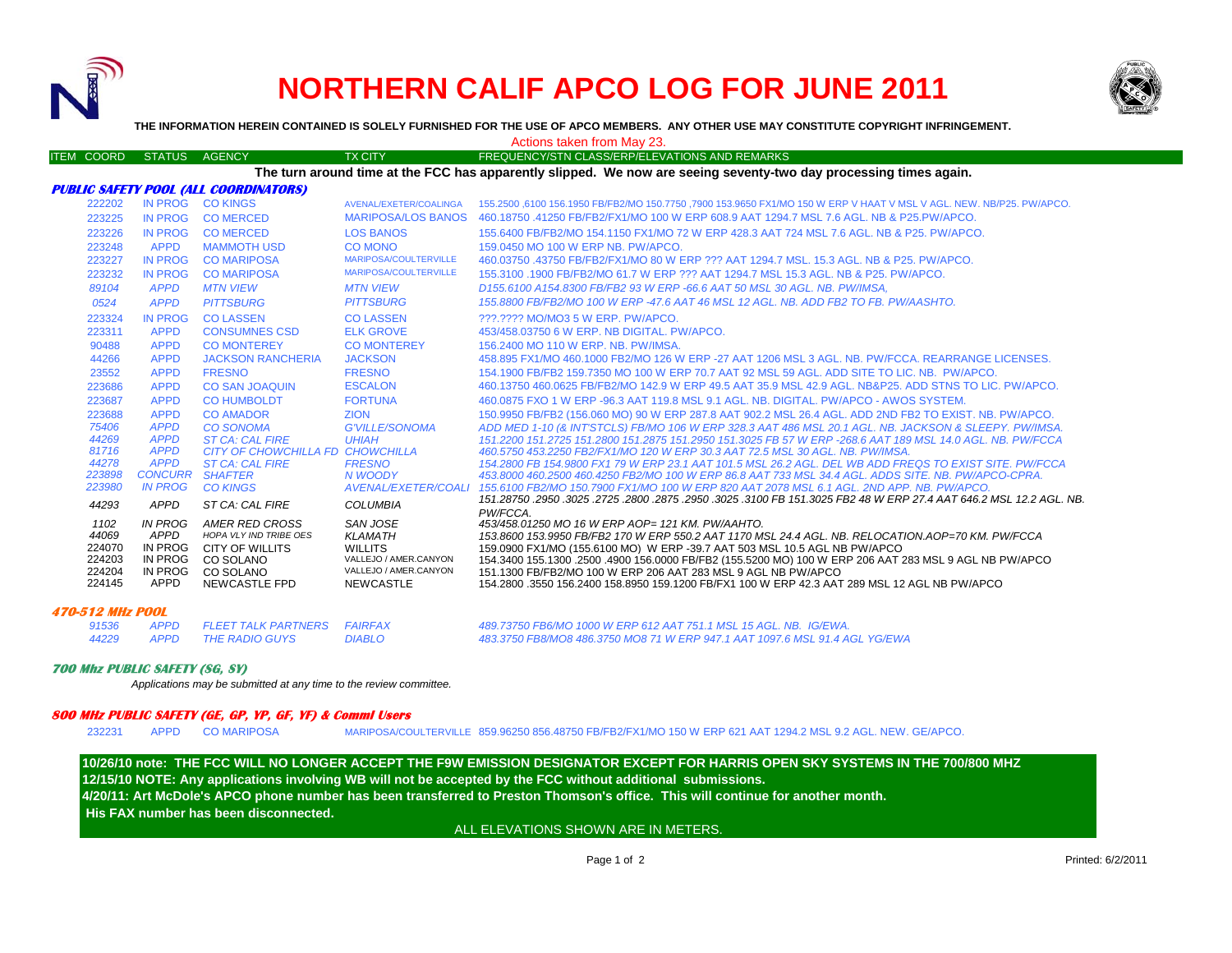

# **NORTHERN CALIF APCO LOG FOR JUNE 2011**



**THE INFORMATION HEREIN CONTAINED IS SOLELY FURNISHED FOR THE USE OF APCO MEMBERS. ANY OTHER USE MAY CONSTITUTE COPYRIGHT INFRINGEMENT.**

Actions taken from May 23.

#### ITEM COORD STATUS AGENCY TX CITY TX CITY FREQUENCY/STN CLASS/ERP/ELEVATIONS AND REMARKS

**The turn around time at the FCC has apparently slipped. We now are seeing seventy-two day processing times again.**

| 1102<br>44069<br>224070<br>224203<br>224204<br>224145 | IN PROG<br>APPD<br>IN PROG<br>IN PROG<br>IN PROG<br>APPD | AMER RED CROSS<br><b>HOPA VLY IND TRIBE OES</b><br>CITY OF WILLITS<br>CO SOLANO<br>CO SOLANO<br>NEWCASTLE FPD | SAN JOSE<br><b>KLAMATH</b><br><b>WILLITS</b><br>VALLEJO / AMER.CANYON<br>VALLEJO / AMER.CANYON<br>NEWCASTLE | 453/458.01250 MO 16 W ERP AOP= 121 KM, PW/AAHTO,<br>153.8600 153.9950 FB/FB2 170 W ERP 550.2 AAT 1170 MSL 24.4 AGL. NB. RELOCATION.AOP=70 KM. PW/FCCA<br>159,0900 FX1/MO (155,6100 MO) W ERP -39,7 AAT 503 MSL 10.5 AGL NB PW/APCO<br>154.3400 155.1300 .2500 .4900 156.0000 FB/FB2 (155.5200 MO) 100 W ERP 206 AAT 283 MSL 9 AGL NB PW/APCO<br>151.1300 FB/FB2/MO 100 W ERP 206 AAT 283 MSL 9 AGL NB PW/APCO<br>154.2800 .3550 156.2400 158.8950 159.1200 FB/FX1 100 W ERP 42.3 AAT 289 MSL 12 AGL NB PW/APCO |
|-------------------------------------------------------|----------------------------------------------------------|---------------------------------------------------------------------------------------------------------------|-------------------------------------------------------------------------------------------------------------|----------------------------------------------------------------------------------------------------------------------------------------------------------------------------------------------------------------------------------------------------------------------------------------------------------------------------------------------------------------------------------------------------------------------------------------------------------------------------------------------------------------|
| 44293                                                 | <b>APPD</b>                                              | ST CA: CAL FIRE                                                                                               | <b>COLUMBIA</b>                                                                                             | .451.28750 .2950 .3025 .2725 .2800 .2875 .2950 .3025 .3100 FB 151.3025 FB2 48 W ERP 27.4 AAT 646.2 MSL 12.2 AGL. NB<br>PW/FCCA.                                                                                                                                                                                                                                                                                                                                                                                |
| 223980                                                | <b>IN PROG</b>                                           | <b>CO KINGS</b>                                                                                               | <b>AVENAL/EXETER/COALI</b>                                                                                  | 155.6100 FB2/MO 150.7900 FX1/MO 100 W ERP 820 AAT 2078 MSL 6.1 AGL, 2ND APP, NB, PW/APCO,                                                                                                                                                                                                                                                                                                                                                                                                                      |
| 223898                                                | <b>CONCURR</b>                                           | <b>SHAFTER</b>                                                                                                | N WOODY                                                                                                     | 453,8000 460,2500 460,4250 FB2/MO 100 W ERP 86.8 AAT 733 MSL 34.4 AGL, ADDS SITE, NB, PW/APCO-CPRA.                                                                                                                                                                                                                                                                                                                                                                                                            |
| 44278                                                 | <b>APPD</b>                                              | <b>ST CA: CAL FIRE</b>                                                                                        | <b>FRESNO</b>                                                                                               | 154.2800 FB 154.9800 FX1 79 W ERP 23.1 AAT 101.5 MSL 26.2 AGL. DEL WB ADD FREQS TO EXIST SITE. PW/FCCA                                                                                                                                                                                                                                                                                                                                                                                                         |
| 81716                                                 | <b>APPD</b>                                              | CITY OF CHOWCHILLA FD CHOWCHILLA                                                                              |                                                                                                             | 460.5750 453.2250 FB2/FX1/MO 120 W ERP 30.3 AAT 72.5 MSL 30 AGL. NB. PW/IMSA.                                                                                                                                                                                                                                                                                                                                                                                                                                  |
| 75406<br>44269                                        | <b>APPD</b><br><b>APPD</b>                               | <b>CO SONOMA</b><br><b>ST CA: CAL FIRE</b>                                                                    | <b>G'VILLE/SONOMA</b><br><b>UHIAH</b>                                                                       | ADD MED 1-10 (& INT'STCLS) FB/MO 106 W ERP 328.3 AAT 486 MSL 20.1 AGL, NB, JACKSON & SLEEPY, PW/IMSA.<br>151.2200 151.2725 151.2800 151.2875 151.2950 151.3025 FB 57 W ERP -268.6 AAT 189 MSL 14.0 AGL, NB, PW/FCCA                                                                                                                                                                                                                                                                                            |
| 223688                                                | <b>APPD</b>                                              | <b>CO AMADOR</b>                                                                                              | <b>ZION</b>                                                                                                 | 150.9950 FB/FB2 (156.060 MO) 90 W ERP 287.8 AAT 902.2 MSL 26.4 AGL. ADD 2ND FB2 TO EXIST. NB. PW/APCO.                                                                                                                                                                                                                                                                                                                                                                                                         |
| 223687                                                | <b>APPD</b>                                              | <b>CO HUMBOLDT</b>                                                                                            | <b>FORTUNA</b>                                                                                              | 460,0875 FXO 1 W ERP -96.3 AAT 119.8 MSL 9.1 AGL, NB, DIGITAL, PW/APCO - AWOS SYSTEM.                                                                                                                                                                                                                                                                                                                                                                                                                          |
| 223686                                                | <b>APPD</b>                                              | <b>CO SAN JOAQUIN</b>                                                                                         | <b>ESCALON</b>                                                                                              | 460.13750 460.0625 FB/FB2/MO 142.9 W ERP 49.5 AAT 35.9 MSL 42.9 AGL, NB&P25, ADD STNS TO LIC, PW/APCO,                                                                                                                                                                                                                                                                                                                                                                                                         |
| 23552                                                 | <b>APPD</b>                                              | <b>FRESNO</b>                                                                                                 | <b>FRESNO</b>                                                                                               | 154.1900 FB/FB2 159.7350 MO 100 W ERP 70.7 AAT 92 MSL 59 AGL, ADD SITE TO LIC, NB. PW/APCO.                                                                                                                                                                                                                                                                                                                                                                                                                    |
| 44266                                                 | <b>APPD</b>                                              | <b>JACKSON RANCHERIA</b>                                                                                      | <b>JACKSON</b>                                                                                              | 458.895 FX1/MO 460.1000 FB2/MO 126 W ERP -27 AAT 1206 MSL 3 AGL. NB, PW/FCCA, REARRANGE LICENSES.                                                                                                                                                                                                                                                                                                                                                                                                              |
| 90488                                                 | <b>APPD</b>                                              | <b>CO MONTEREY</b>                                                                                            | <b>CO MONTEREY</b>                                                                                          | 156,2400 MO 110 W ERP. NB. PW/IMSA.                                                                                                                                                                                                                                                                                                                                                                                                                                                                            |
| 223311                                                | <b>APPD</b>                                              | <b>CONSUMNES CSD</b>                                                                                          | <b>ELK GROVE</b>                                                                                            | 453/458,03750 6 W ERP, NB DIGITAL, PW/APCO,                                                                                                                                                                                                                                                                                                                                                                                                                                                                    |
| 223324                                                | <b>IN PROG</b>                                           | <b>CO LASSEN</b>                                                                                              | <b>COLASSEN</b>                                                                                             | 222.2222 MO/MO3 5 W ERP. PW/APCO.                                                                                                                                                                                                                                                                                                                                                                                                                                                                              |
| 0524                                                  | <b>APPD</b>                                              | <b>PITTSBURG</b>                                                                                              | <b>PITTSBURG</b>                                                                                            | 155.8800 FB/FB2/MO 100 W ERP -47.6 AAT 46 MSL 12 AGL. NB. ADD FB2 TO FB. PW/AASHTO.                                                                                                                                                                                                                                                                                                                                                                                                                            |
| 89104                                                 | <b>APPD</b>                                              | <b>MTN VIEW</b>                                                                                               | <b>MTN VIEW</b>                                                                                             | D155,6100 A154,8300 FB/FB2 93 W ERP -66.6 AAT 50 MSL 30 AGL, NB, PW/IMSA,                                                                                                                                                                                                                                                                                                                                                                                                                                      |
| 223232                                                | <b>IN PROG</b>                                           | <b>CO MARIPOSA</b>                                                                                            |                                                                                                             | 155,3100 .1900 FB/FB2/MO 61.7 W ERP ??? AAT 1294.7 MSL 15.3 AGL, NB & P25, PW/APCO,                                                                                                                                                                                                                                                                                                                                                                                                                            |
| 223227                                                | IN PROG                                                  | <b>CO MARIPOSA</b>                                                                                            | MARIPOSA/COULTERVILLE                                                                                       | 460.03750 .43750 FB/FB2/FX1/MO 80 W ERP ??? AAT 1294.7 MSL, 15.3 AGL, NB & P25, PW/APCO,                                                                                                                                                                                                                                                                                                                                                                                                                       |
| 223248                                                | <b>APPD</b>                                              | <b>MAMMOTH USD</b>                                                                                            | CO MONO<br>MARIPOSA/COULTERVILLE                                                                            | 159,0450 MO 100 W ERP NB, PW/APCO,                                                                                                                                                                                                                                                                                                                                                                                                                                                                             |
| 223226                                                | <b>IN PROG</b>                                           | <b>CO MERCED</b>                                                                                              | <b>LOS BANOS</b>                                                                                            | 155,6400 FB/FB2/MO 154,1150 FX1/MO 72 W ERP 428.3 AAT 724 MSL 7.6 AGL, NB & P25, PW/APCO,                                                                                                                                                                                                                                                                                                                                                                                                                      |
| 223225                                                | IN PROG                                                  | <b>CO MERCED</b>                                                                                              |                                                                                                             |                                                                                                                                                                                                                                                                                                                                                                                                                                                                                                                |
|                                                       |                                                          |                                                                                                               | AVENAL/EXETER/COALINGA<br><b>MARIPOSA/LOS BANOS</b>                                                         | 155,2500,6100 156,1950 FB/FB2/MO 150,7750 .7900 153,9650 FX1/MO 150 W ERP V HAAT V MSL V AGL. NEW, NB/P25, PW/APCO,<br>460.18750 .41250 FB/FB2/FX1/MO 100 W ERP 608.9 AAT 1294.7 MSL 7.6 AGL, NB & P25.PW/APCO.                                                                                                                                                                                                                                                                                                |
| 222202                                                | IN PROG                                                  | FUBLIC SAFEIT FUUL (ALL CUURDINATURS)<br><b>CO KINGS</b>                                                      |                                                                                                             |                                                                                                                                                                                                                                                                                                                                                                                                                                                                                                                |

#### **470-512 MHz POOL**

| 91536 | APPD FLEET TALK PARTNERS FAIRFAX |        | 489.73750 FB6/MO 1000 W ERP 612 AAT 751.1 MSL 15 AGL. NB. IG/EWA.           |
|-------|----------------------------------|--------|-----------------------------------------------------------------------------|
| 44229 | APPD THE RADIO GUYS              | DIABLO | 483.3750 FB8/MO8 486.3750 MO8 71 W ERP 947.1 AAT 1097.6 MSL 91.4 AGL YG/EWA |

### **700 Mhz PUBLIC SAFETY (SG, SY)**

*Applications may be submitted at any time to the review committee.*

## **800 MHz PUBLIC SAFETY (GE, GP, YP, GF, YF) & Comml Users**

**PUBLIC SAFETY POOL (ALL COORDINATORS)**

232231 APPD CO MARIPOSAMARIPOSA/COULTERVILLE 859.96250 856.48750 FB/FB2/FX1/MO 150 W ERP 621 AAT 1294.2 MSL 9.2 AGL. NEW. GE/APCO.

**12/15/10 NOTE: Any applications involving WB will not be accepted by the FCC without additional submissions. 4/20/11: Art McDole's APCO phone number has been transferred to Preston Thomson's office. This will continue for another month. His FAX number has been disconnected.10/26/10 note: THE FCC WILL NO LONGER ACCEPT THE F9W EMISSION DESIGNATOR EXCEPT FOR HARRIS OPEN SKY SYSTEMS IN THE 700/800 MHZ**

ALL ELEVATIONS SHOWN ARE IN METERS.